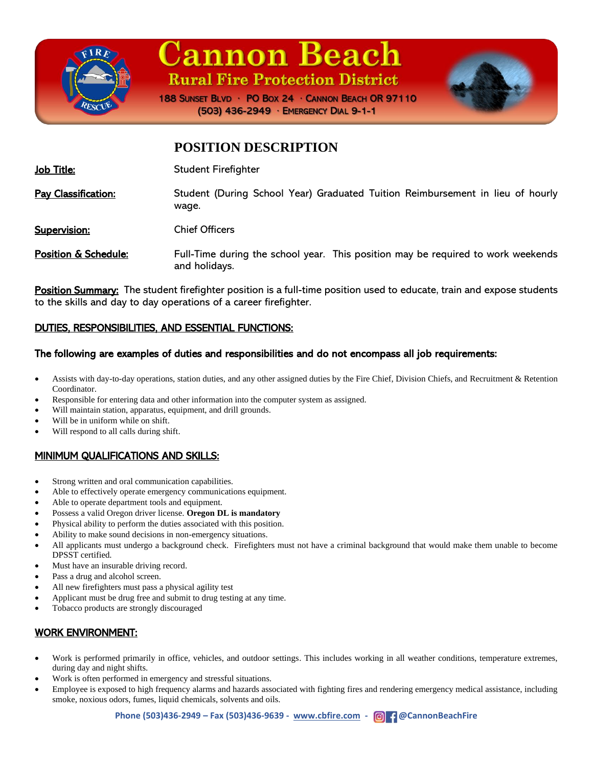

# **Cannon Beach Rural Fire Protection District**



188 SUNSET BLVD · PO BOX 24 · CANNON BEACH OR 97110 (503) 436-2949 · EMERGENCY DIAL 9-1-1

### **POSITION DESCRIPTION**

| Job Title: | <b>Student Firefighter</b> |
|------------|----------------------------|
|------------|----------------------------|

Pay Classification: Student (During School Year) Graduated Tuition Reimbursement in lieu of hourly wage.

Supervision: Chief Officers

Position & Schedule: Full-Time during the school year. This position may be required to work weekends and holidays.

Position Summary: The student firefighter position is a full-time position used to educate, train and expose students to the skills and day to day operations of a career firefighter.

### DUTIES, RESPONSIBILITIES, AND ESSENTIAL FUNCTIONS:

#### The following are examples of duties and responsibilities and do not encompass all job requirements:

- Assists with day-to-day operations, station duties, and any other assigned duties by the Fire Chief, Division Chiefs, and Recruitment & Retention Coordinator.
- Responsible for entering data and other information into the computer system as assigned.
- Will maintain station, apparatus, equipment, and drill grounds.
- Will be in uniform while on shift.
- Will respond to all calls during shift.

#### MINIMUM QUALIFICATIONS AND SKILLS:

- Strong written and oral communication capabilities.
- Able to effectively operate emergency communications equipment.
- Able to operate department tools and equipment.
- Possess a valid Oregon driver license. **Oregon DL is mandatory**
- Physical ability to perform the duties associated with this position.
- Ability to make sound decisions in non-emergency situations.
- All applicants must undergo a background check. Firefighters must not have a criminal background that would make them unable to become DPSST certified.
- Must have an insurable driving record.
- Pass a drug and alcohol screen.
- All new firefighters must pass a physical agility test
- Applicant must be drug free and submit to drug testing at any time.
- Tobacco products are strongly discouraged

#### WORK ENVIRONMENT:

- Work is performed primarily in office, vehicles, and outdoor settings. This includes working in all weather conditions, temperature extremes, during day and night shifts.
- Work is often performed in emergency and stressful situations.
- Employee is exposed to high frequency alarms and hazards associated with fighting fires and rendering emergency medical assistance, including smoke, noxious odors, fumes, liquid chemicals, solvents and oils.